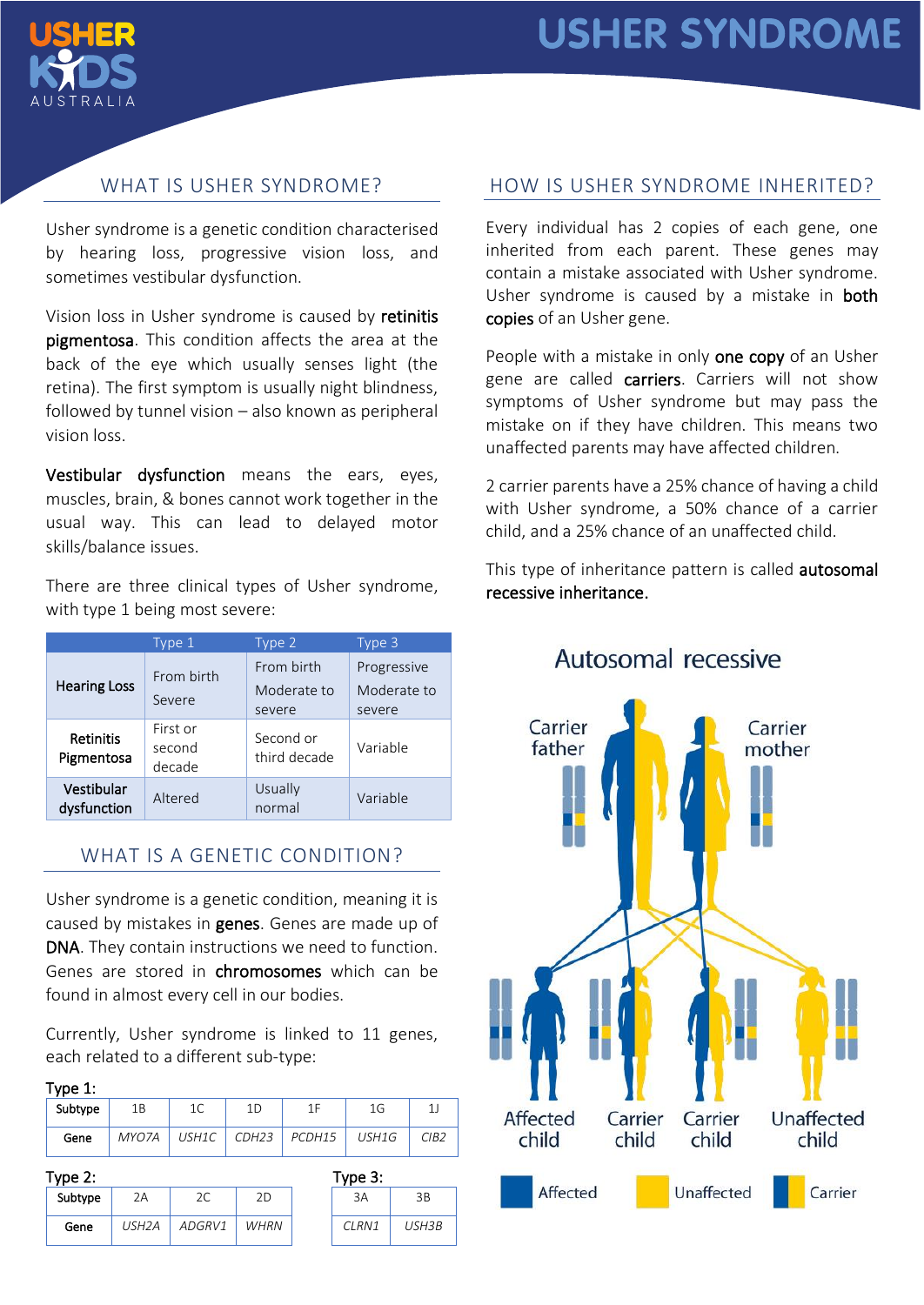

# WHAT IS USHER SYNDROME?

Usher syndrome is a genetic condition characterised by hearing loss, progressive vision loss, and sometimes vestibular dysfunction.

Vision loss in Usher syndrome is caused by retinitis pigmentosa. This condition affects the area at the back of the eye which usually senses light (the retina). The first symptom is usually night blindness, followed by tunnel vision – also known as peripheral vision loss.

Vestibular dysfunction means the ears, eyes, muscles, brain, & bones cannot work together in the usual way. This can lead to delayed motor skills/balance issues.

There are three clinical types of Usher syndrome, with type 1 being most severe:

| Type 1                               |                              | Type 2                              | Type 3                               |  |
|--------------------------------------|------------------------------|-------------------------------------|--------------------------------------|--|
| <b>Hearing Loss</b>                  | From birth<br>Severe         | From birth<br>Moderate to<br>severe | Progressive<br>Moderate to<br>severe |  |
| <b>Retinitis</b><br>Pigmentosa       | First or<br>second<br>decade | Second or<br>third decade           | Variable                             |  |
| Vestibular<br>Altered<br>dysfunction |                              | Usually<br>normal                   | Variable                             |  |

## WHAT IS A GENETIC CONDITION?

Usher syndrome is a genetic condition, meaning it is caused by mistakes in genes. Genes are made up of DNA. They contain instructions we need to function. Genes are stored in chromosomes which can be found in almost every cell in our bodies.

Currently, Usher syndrome is linked to 11 genes, each related to a different sub-type:

## Type 1:

| Subtype | 1B    |              | 1D                | 1 E    | 1G    |      |
|---------|-------|--------------|-------------------|--------|-------|------|
| Gene    | MYO7A | <b>USH1C</b> | CDH <sub>23</sub> | PCDH15 | USH1G | CIB2 |

|  | .m | × |  |
|--|----|---|--|
|  |    |   |  |

| Type $2:$ |         |                    |        | Type $3:$   |  |       |       |
|-----------|---------|--------------------|--------|-------------|--|-------|-------|
|           | Subtype | 2Α                 | 2С     | 2D          |  | 3A    | 3B    |
|           | Gene    | USH <sub>2</sub> A | ADGRV1 | <b>WHRN</b> |  | CLRN1 | USH3B |

| Type 3: |       |  |  |
|---------|-------|--|--|
| ЗA      | ЗB    |  |  |
| CI RN1  | USH3B |  |  |

## HOW IS USHER SYNDROME INHERITED?

Every individual has 2 copies of each gene, one inherited from each parent. These genes may contain a mistake associated with Usher syndrome. Usher syndrome is caused by a mistake in **both** copies of an Usher gene.

People with a mistake in only one copy of an Usher gene are called carriers. Carriers will not show symptoms of Usher syndrome but may pass the mistake on if they have children. This means two unaffected parents may have affected children.

2 carrier parents have a 25% chance of having a child with Usher syndrome, a 50% chance of a carrier child, and a 25% chance of an unaffected child.

This type of inheritance pattern is called autosomal recessive inheritance.



Autosomal recessive